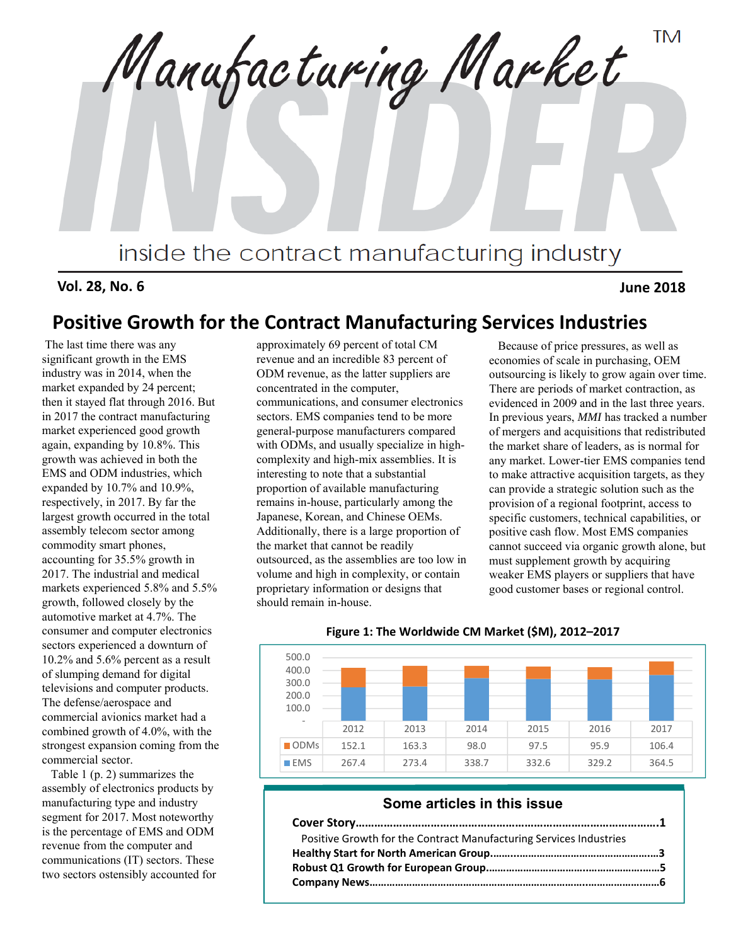**TM** Manufacturing Market inside the contract manufacturing industry

**Vol. 28, No. 6 June 2018**

# **Positive Growth for the Contract Manufacturing Services Industries**

The last time there was any significant growth in the EMS industry was in 2014, when the market expanded by 24 percent; then it stayed flat through 2016. But in 2017 the contract manufacturing market experienced good growth again, expanding by 10.8%. This growth was achieved in both the EMS and ODM industries, which expanded by 10.7% and 10.9%, respectively, in 2017. By far the largest growth occurred in the total assembly telecom sector among commodity smart phones, accounting for 35.5% growth in 2017. The industrial and medical markets experienced 5.8% and 5.5% growth, followed closely by the automotive market at 4.7%. The consumer and computer electronics sectors experienced a downturn of 10.2% and 5.6% percent as a result of slumping demand for digital televisions and computer products. The defense/aerospace and commercial avionics market had a combined growth of 4.0%, with the strongest expansion coming from the commercial sector.

Table 1 (p. 2) summarizes the assembly of electronics products by manufacturing type and industry segment for 2017. Most noteworthy is the percentage of EMS and ODM revenue from the computer and communications (IT) sectors. These two sectors ostensibly accounted for approximately 69 percent of total CM revenue and an incredible 83 percent of ODM revenue, as the latter suppliers are concentrated in the computer, communications, and consumer electronics sectors. EMS companies tend to be more general-purpose manufacturers compared with ODMs, and usually specialize in highcomplexity and high-mix assemblies. It is interesting to note that a substantial proportion of available manufacturing remains in-house, particularly among the Japanese, Korean, and Chinese OEMs. Additionally, there is a large proportion of the market that cannot be readily outsourced, as the assemblies are too low in volume and high in complexity, or contain proprietary information or designs that should remain in-house.

Because of price pressures, as well as economies of scale in purchasing, OEM outsourcing is likely to grow again over time. There are periods of market contraction, as evidenced in 2009 and in the last three years. In previous years, *MMI* has tracked a number of mergers and acquisitions that redistributed the market share of leaders, as is normal for any market. Lower-tier EMS companies tend to make attractive acquisition targets, as they can provide a strategic solution such as the provision of a regional footprint, access to specific customers, technical capabilities, or positive cash flow. Most EMS companies cannot succeed via organic growth alone, but must supplement growth by acquiring weaker EMS players or suppliers that have good customer bases or regional control.



**Figure 1: The Worldwide CM Market (\$M), 2012–2017**

## **Some articles in this issue**

| Positive Growth for the Contract Manufacturing Services Industries |  |
|--------------------------------------------------------------------|--|
|                                                                    |  |
|                                                                    |  |
|                                                                    |  |
|                                                                    |  |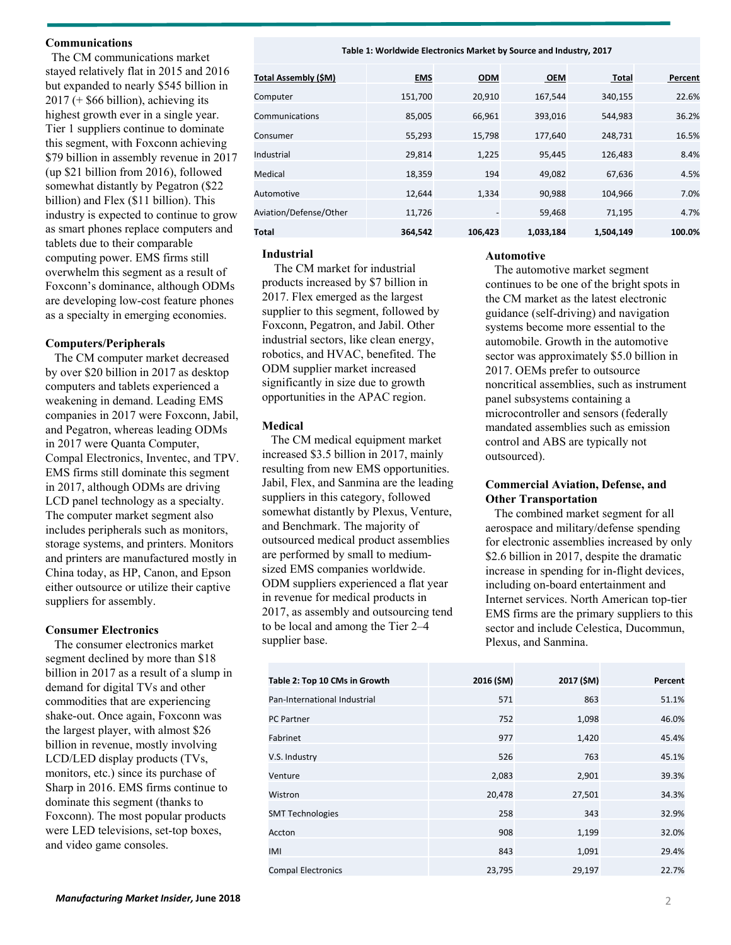## **Communications**

The CM communications market stayed relatively flat in 2015 and 2016 but expanded to nearly \$545 billion in  $2017$  (+ \$66 billion), achieving its highest growth ever in a single year. Tier 1 suppliers continue to dominate this segment, with Foxconn achieving \$79 billion in assembly revenue in 2017 (up \$21 billion from 2016), followed somewhat distantly by Pegatron (\$22 billion) and Flex (\$11 billion). This industry is expected to continue to grow as smart phones replace computers and tablets due to their comparable computing power. EMS firms still overwhelm this segment as a result of Foxconn's dominance, although ODMs are developing low-cost feature phones as a specialty in emerging economies.

## **Computers/Peripherals**

The CM computer market decreased by over \$20 billion in 2017 as desktop computers and tablets experienced a weakening in demand. Leading EMS companies in 2017 were Foxconn, Jabil, and Pegatron, whereas leading ODMs in 2017 were Quanta Computer, Compal Electronics, Inventec, and TPV. EMS firms still dominate this segment in 2017, although ODMs are driving LCD panel technology as a specialty. The computer market segment also includes peripherals such as monitors, storage systems, and printers. Monitors and printers are manufactured mostly in China today, as HP, Canon, and Epson either outsource or utilize their captive suppliers for assembly.

## **Consumer Electronics**

The consumer electronics market segment declined by more than \$18 billion in 2017 as a result of a slump in demand for digital TVs and other commodities that are experiencing shake-out. Once again, Foxconn was the largest player, with almost \$26 billion in revenue, mostly involving LCD/LED display products (TVs, monitors, etc.) since its purchase of Sharp in 2016. EMS firms continue to dominate this segment (thanks to Foxconn). The most popular products were LED televisions, set-top boxes, and video game consoles.

#### **Table 1: Worldwide Electronics Market by Source and Industry, 2017**

| <b>Total Assembly (\$M)</b> | <b>EMS</b> | <b>ODM</b>     | <b>OEM</b> | <b>Total</b> | Percent |
|-----------------------------|------------|----------------|------------|--------------|---------|
| Computer                    | 151,700    | 20,910         | 167,544    | 340,155      | 22.6%   |
| Communications              | 85,005     | 66,961         | 393,016    | 544,983      | 36.2%   |
| Consumer                    | 55,293     | 15,798         | 177,640    | 248.731      | 16.5%   |
| Industrial                  | 29,814     | 1,225          | 95,445     | 126,483      | 8.4%    |
| Medical                     | 18,359     | 194            | 49,082     | 67,636       | 4.5%    |
| Automotive                  | 12.644     | 1.334          | 90,988     | 104,966      | 7.0%    |
| Aviation/Defense/Other      | 11,726     | $\overline{a}$ | 59,468     | 71,195       | 4.7%    |
| <b>Total</b>                | 364.542    | 106.423        | 1,033,184  | 1,504,149    | 100.0%  |

## **Industrial**

The CM market for industrial products increased by \$7 billion in 2017. Flex emerged as the largest supplier to this segment, followed by Foxconn, Pegatron, and Jabil. Other industrial sectors, like clean energy, robotics, and HVAC, benefited. The ODM supplier market increased significantly in size due to growth opportunities in the APAC region.

## **Medical**

The CM medical equipment market increased \$3.5 billion in 2017, mainly resulting from new EMS opportunities. Jabil, Flex, and Sanmina are the leading suppliers in this category, followed somewhat distantly by Plexus, Venture, and Benchmark. The majority of outsourced medical product assemblies are performed by small to mediumsized EMS companies worldwide. ODM suppliers experienced a flat year in revenue for medical products in 2017, as assembly and outsourcing tend to be local and among the Tier 2–4 supplier base.

| Table 2: Top 10 CMs in Growth | 2016 (\$M) | 2017 (\$M) | Percent |
|-------------------------------|------------|------------|---------|
| Pan-International Industrial  | 571        | 863        | 51.1%   |
| <b>PC Partner</b>             | 752        | 1,098      | 46.0%   |
| Fabrinet                      | 977        | 1,420      | 45.4%   |
| V.S. Industry                 | 526        | 763        | 45.1%   |
| Venture                       | 2,083      | 2,901      | 39.3%   |
| Wistron                       | 20,478     | 27,501     | 34.3%   |
| <b>SMT Technologies</b>       | 258        | 343        | 32.9%   |
| Accton                        | 908        | 1,199      | 32.0%   |
| IMI                           | 843        | 1,091      | 29.4%   |
| <b>Compal Electronics</b>     | 23,795     | 29,197     | 22.7%   |

## **Automotive**

The automotive market segment continues to be one of the bright spots in the CM market as the latest electronic guidance (self-driving) and navigation systems become more essential to the automobile. Growth in the automotive sector was approximately \$5.0 billion in 2017. OEMs prefer to outsource noncritical assemblies, such as instrument panel subsystems containing a microcontroller and sensors (federally mandated assemblies such as emission control and ABS are typically not outsourced).

## **Commercial Aviation, Defense, and Other Transportation**

The combined market segment for all aerospace and military/defense spending for electronic assemblies increased by only \$2.6 billion in 2017, despite the dramatic increase in spending for in-flight devices, including on-board entertainment and Internet services. North American top-tier EMS firms are the primary suppliers to this sector and include Celestica, Ducommun, Plexus, and Sanmina.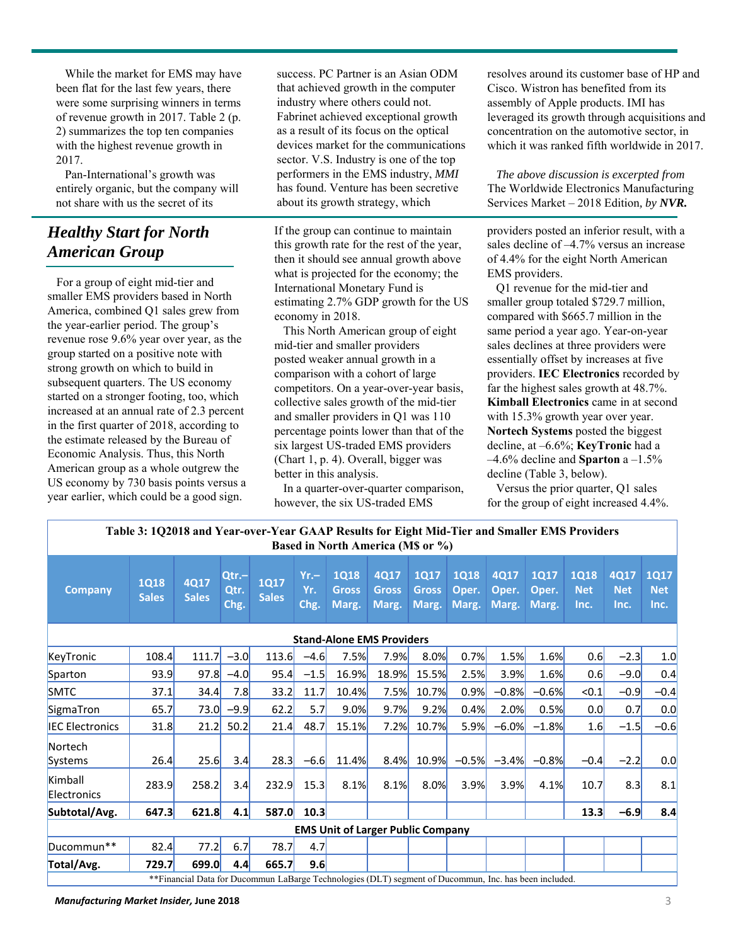While the market for EMS may have been flat for the last few years, there were some surprising winners in terms of revenue growth in 2017. Table 2 (p. 2) summarizes the top ten companies with the highest revenue growth in 2017.

Pan-International's growth was entirely organic, but the company will not share with us the secret of its

# *Healthy Start for North American Group*

For a group of eight mid-tier and smaller EMS providers based in North America, combined Q1 sales grew from the year-earlier period. The group's revenue rose 9.6% year over year, as the group started on a positive note with strong growth on which to build in subsequent quarters. The US economy started on a stronger footing, too, which increased at an annual rate of 2.3 percent in the first quarter of 2018, according to the estimate released by the Bureau of Economic Analysis. Thus, this North American group as a whole outgrew the US economy by 730 basis points versus a year earlier, which could be a good sign.

success. PC Partner is an Asian ODM that achieved growth in the computer industry where others could not. Fabrinet achieved exceptional growth as a result of its focus on the optical devices market for the communications sector. V.S. Industry is one of the top performers in the EMS industry, *MMI*  has found. Venture has been secretive about its growth strategy, which

If the group can continue to maintain this growth rate for the rest of the year, then it should see annual growth above what is projected for the economy; the International Monetary Fund is estimating 2.7% GDP growth for the US economy in 2018.

This North American group of eight mid-tier and smaller providers posted weaker annual growth in a comparison with a cohort of large competitors. On a year-over-year basis, collective sales growth of the mid-tier and smaller providers in Q1 was 110 percentage points lower than that of the six largest US-traded EMS providers (Chart 1, p. 4). Overall, bigger was better in this analysis.

In a quarter-over-quarter comparison, however, the six US-traded EMS

resolves around its customer base of HP and Cisco. Wistron has benefited from its assembly of Apple products. IMI has leveraged its growth through acquisitions and concentration on the automotive sector, in which it was ranked fifth worldwide in 2017.

*The above discussion is excerpted from*  The Worldwide Electronics Manufacturing Services Market – 2018 Edition*, by NVR.*

providers posted an inferior result, with a sales decline of –4.7% versus an increase of 4.4% for the eight North American EMS providers.

Q1 revenue for the mid-tier and smaller group totaled \$729.7 million, compared with \$665.7 million in the same period a year ago. Year-on-year sales declines at three providers were essentially offset by increases at five providers. **IEC Electronics** recorded by far the highest sales growth at 48.7%. **Kimball Electronics** came in at second with 15.3% growth year over year. **Nortech Systems** posted the biggest decline, at –6.6%; **KeyTronic** had a –4.6% decline and **Sparton** a –1.5% decline (Table 3, below).

Versus the prior quarter, Q1 sales for the group of eight increased 4.4%.

| Table 3: 1Q2018 and Year-over-Year GAAP Results for Eight Mid-Tier and Smaller EMS Providers<br><b>Based in North America (M\$ or %)</b> |                             |                      |                       |                             |                       |                                      |                               |                                      |                               |                        |                               |                                   |                            |                                   |
|------------------------------------------------------------------------------------------------------------------------------------------|-----------------------------|----------------------|-----------------------|-----------------------------|-----------------------|--------------------------------------|-------------------------------|--------------------------------------|-------------------------------|------------------------|-------------------------------|-----------------------------------|----------------------------|-----------------------------------|
| <b>Company</b>                                                                                                                           | <b>1Q18</b><br><b>Sales</b> | 4Q17<br><b>Sales</b> | Qtr.-<br>Qtr.<br>Chg. | <b>1Q17</b><br><b>Sales</b> | $Yr -$<br>Yr.<br>Chg. | <b>1Q18</b><br><b>Gross</b><br>Marg. | 4Q17<br><b>Gross</b><br>Marg. | <b>1Q17</b><br><b>Gross</b><br>Marg. | <b>1Q18</b><br>Oper.<br>Marg. | 4Q17<br>Oper.<br>Marg. | <b>1Q17</b><br>Oper.<br>Marg. | <b>1Q18</b><br><b>Net</b><br>Inc. | 4Q17<br><b>Net</b><br>Inc. | <b>1Q17</b><br><b>Net</b><br>Inc. |
| <b>Stand-Alone EMS Providers</b>                                                                                                         |                             |                      |                       |                             |                       |                                      |                               |                                      |                               |                        |                               |                                   |                            |                                   |
| KeyTronic                                                                                                                                | 108.4                       | 111.7                | $-3.0$                | 113.6                       | $-4.6$                | 7.5%                                 | 7.9%                          | 8.0%                                 | 0.7%                          | 1.5%                   | 1.6%                          | 0.6                               | $-2.3$                     | 1.0                               |
| Sparton                                                                                                                                  | 93.9                        | 97.8                 | $-4.0$                | 95.4                        | $-1.5$                | 16.9%                                | <b>18.9%</b>                  | 15.5%                                | 2.5%                          | 3.9%                   | 1.6%                          | 0.6                               | $-9.0$                     | 0.4                               |
| <b>SMTC</b>                                                                                                                              | 37.1                        | 34.4                 | 7.8                   | 33.2                        | 11.7                  | 10.4%                                | 7.5%                          | 10.7%                                | 0.9%                          | $-0.8%$                | $-0.6%$                       | < 0.1                             | $-0.9$                     | $-0.4$                            |
| SigmaTron                                                                                                                                | 65.7                        | 73.0                 | $-9.9$                | 62.2                        | 5.7                   | 9.0%                                 | 9.7%                          | 9.2%                                 | 0.4%                          | 2.0%                   | 0.5%                          | 0.0                               | 0.7                        | 0.0                               |
| <b>IEC Electronics</b>                                                                                                                   | 31.8                        | 21.2                 | 50.2                  | 21.4                        | 48.7                  | 15.1%                                | 7.2%                          | 10.7%                                | 5.9%                          | $-6.0%$                | $-1.8%$                       | 1.6                               | $-1.5$                     | $-0.6$                            |
| Nortech<br>Systems                                                                                                                       | 26.4                        | 25.6                 | 3.4                   | 28.3                        | $-6.6$                | 11.4%                                | 8.4%                          | 10.9%                                | $-0.5%$                       | $-3.4%$                | $-0.8%$                       | $-0.4$                            | $-2.2$                     | 0.0                               |
| Kimball<br>Electronics                                                                                                                   | 283.9                       | 258.2                | 3.4                   | 232.9                       | 15.3                  | 8.1%                                 | 8.1%                          | 8.0%                                 | 3.9%                          | 3.9%                   | 4.1%                          | 10.7                              | 8.3                        | 8.1                               |
| Subtotal/Avg.                                                                                                                            | 647.3                       | 621.8                | 4.1                   | 587.0                       | 10.3                  |                                      |                               |                                      |                               |                        |                               | 13.3                              | $-6.9$                     | 8.4                               |
| <b>EMS Unit of Larger Public Company</b>                                                                                                 |                             |                      |                       |                             |                       |                                      |                               |                                      |                               |                        |                               |                                   |                            |                                   |
| Ducommun**                                                                                                                               | 82.4                        | 77.2                 | 6.7                   | 78.7                        | 4.7                   |                                      |                               |                                      |                               |                        |                               |                                   |                            |                                   |
| Total/Avg.                                                                                                                               | 729.7                       | 699.0                | 4.4                   | 665.7                       | 9.6                   |                                      |                               |                                      |                               |                        |                               |                                   |                            |                                   |
| **Financial Data for Ducommun LaBarge Technologies (DLT) segment of Ducommun, Inc. has been included.                                    |                             |                      |                       |                             |                       |                                      |                               |                                      |                               |                        |                               |                                   |                            |                                   |

*Manufacturing Market Insider,* **June 2018** 3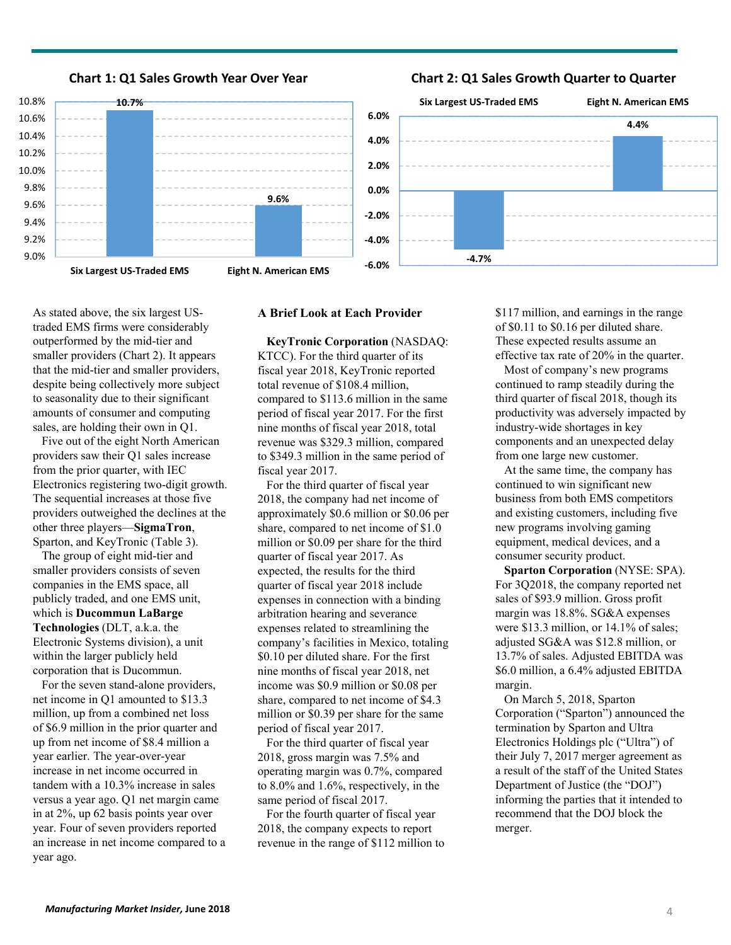

**Chart 1: Q1 Sales Growth Year Over Year**

## **Chart 2: Q1 Sales Growth Quarter to Quarter**



As stated above, the six largest UStraded EMS firms were considerably outperformed by the mid-tier and smaller providers (Chart 2). It appears

that the mid-tier and smaller providers, despite being collectively more subject to seasonality due to their significant amounts of consumer and computing sales, are holding their own in Q1.

Five out of the eight North American providers saw their Q1 sales increase from the prior quarter, with IEC Electronics registering two-digit growth. The sequential increases at those five providers outweighed the declines at the other three players—**SigmaTron**, Sparton, and KeyTronic (Table 3).

The group of eight mid-tier and smaller providers consists of seven companies in the EMS space, all publicly traded, and one EMS unit, which is **Ducommun LaBarge Technologies** (DLT, a.k.a. the Electronic Systems division), a unit within the larger publicly held corporation that is Ducommun.

For the seven stand-alone providers, net income in Q1 amounted to \$13.3 million, up from a combined net loss of \$6.9 million in the prior quarter and up from net income of \$8.4 million a year earlier. The year-over-year increase in net income occurred in tandem with a 10.3% increase in sales versus a year ago. Q1 net margin came in at 2%, up 62 basis points year over year. Four of seven providers reported an increase in net income compared to a year ago.

### **A Brief Look at Each Provider**

**KeyTronic Corporation** (NASDAQ: KTCC). For the third quarter of its fiscal year 2018, KeyTronic reported total revenue of \$108.4 million, compared to \$113.6 million in the same period of fiscal year 2017. For the first nine months of fiscal year 2018, total revenue was \$329.3 million, compared to \$349.3 million in the same period of fiscal year 2017.

For the third quarter of fiscal year 2018, the company had net income of approximately \$0.6 million or \$0.06 per share, compared to net income of \$1.0 million or \$0.09 per share for the third quarter of fiscal year 2017. As expected, the results for the third quarter of fiscal year 2018 include expenses in connection with a binding arbitration hearing and severance expenses related to streamlining the company's facilities in Mexico, totaling \$0.10 per diluted share. For the first nine months of fiscal year 2018, net income was \$0.9 million or \$0.08 per share, compared to net income of \$4.3 million or \$0.39 per share for the same period of fiscal year 2017.

For the third quarter of fiscal year 2018, gross margin was 7.5% and operating margin was 0.7%, compared to 8.0% and 1.6%, respectively, in the same period of fiscal 2017.

For the fourth quarter of fiscal year 2018, the company expects to report revenue in the range of \$112 million to \$117 million, and earnings in the range of \$0.11 to \$0.16 per diluted share. These expected results assume an effective tax rate of 20% in the quarter.

Most of company's new programs continued to ramp steadily during the third quarter of fiscal 2018, though its productivity was adversely impacted by industry-wide shortages in key components and an unexpected delay from one large new customer.

At the same time, the company has continued to win significant new business from both EMS competitors and existing customers, including five new programs involving gaming equipment, medical devices, and a consumer security product.

**Sparton Corporation** (NYSE: SPA). For 3Q2018, the company reported net sales of \$93.9 million. Gross profit margin was 18.8%. SG&A expenses were \$13.3 million, or 14.1% of sales; adjusted SG&A was \$12.8 million, or 13.7% of sales. Adjusted EBITDA was \$6.0 million, a 6.4% adjusted EBITDA margin.

On March 5, 2018, Sparton Corporation ("Sparton") announced the termination by Sparton and Ultra Electronics Holdings plc ("Ultra") of their July 7, 2017 merger agreement as a result of the staff of the United States Department of Justice (the "DOJ") informing the parties that it intended to recommend that the DOJ block the merger.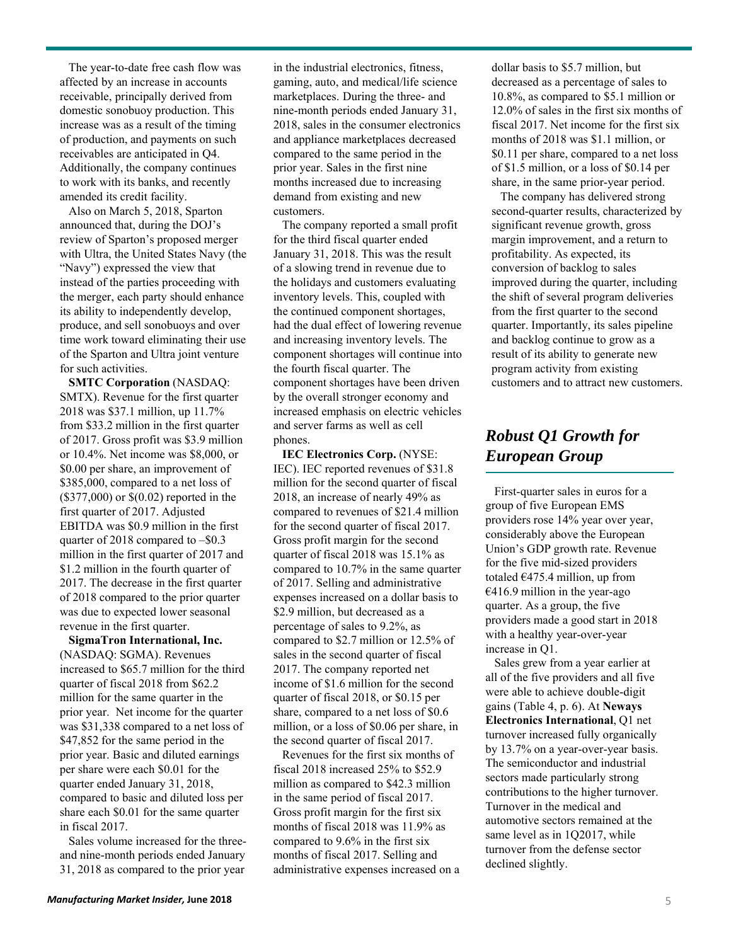The year-to-date free cash flow was affected by an increase in accounts receivable, principally derived from domestic sonobuoy production. This increase was as a result of the timing of production, and payments on such receivables are anticipated in Q4. Additionally, the company continues to work with its banks, and recently amended its credit facility.

Also on March 5, 2018, Sparton announced that, during the DOJ's review of Sparton's proposed merger with Ultra, the United States Navy (the "Navy") expressed the view that instead of the parties proceeding with the merger, each party should enhance its ability to independently develop, produce, and sell sonobuoys and over time work toward eliminating their use of the Sparton and Ultra joint venture for such activities.

**SMTC Corporation** (NASDAQ: SMTX). Revenue for the first quarter 2018 was \$37.1 million, up 11.7% from \$33.2 million in the first quarter of 2017. Gross profit was \$3.9 million or 10.4%. Net income was \$8,000, or \$0.00 per share, an improvement of \$385,000, compared to a net loss of (\$377,000) or \$(0.02) reported in the first quarter of 2017. Adjusted EBITDA was \$0.9 million in the first quarter of 2018 compared to –\$0.3 million in the first quarter of 2017 and \$1.2 million in the fourth quarter of 2017. The decrease in the first quarter of 2018 compared to the prior quarter was due to expected lower seasonal revenue in the first quarter.

**SigmaTron International, Inc.** (NASDAQ: SGMA). Revenues increased to \$65.7 million for the third quarter of fiscal 2018 from \$62.2 million for the same quarter in the prior year. Net income for the quarter was \$31,338 compared to a net loss of \$47,852 for the same period in the prior year. Basic and diluted earnings per share were each \$0.01 for the quarter ended January 31, 2018, compared to basic and diluted loss per share each \$0.01 for the same quarter in fiscal 2017.

Sales volume increased for the threeand nine-month periods ended January 31, 2018 as compared to the prior year

in the industrial electronics, fitness, gaming, auto, and medical/life science marketplaces. During the three- and nine-month periods ended January 31, 2018, sales in the consumer electronics and appliance marketplaces decreased compared to the same period in the prior year. Sales in the first nine months increased due to increasing demand from existing and new customers.

The company reported a small profit for the third fiscal quarter ended January 31, 2018. This was the result of a slowing trend in revenue due to the holidays and customers evaluating inventory levels. This, coupled with the continued component shortages, had the dual effect of lowering revenue and increasing inventory levels. The component shortages will continue into the fourth fiscal quarter. The component shortages have been driven by the overall stronger economy and increased emphasis on electric vehicles and server farms as well as cell phones.

**IEC Electronics Corp.** (NYSE: IEC). IEC reported revenues of \$31.8 million for the second quarter of fiscal 2018, an increase of nearly 49% as compared to revenues of \$21.4 million for the second quarter of fiscal 2017. Gross profit margin for the second quarter of fiscal 2018 was 15.1% as compared to 10.7% in the same quarter of 2017. Selling and administrative expenses increased on a dollar basis to \$2.9 million, but decreased as a percentage of sales to 9.2%, as compared to \$2.7 million or 12.5% of sales in the second quarter of fiscal 2017. The company reported net income of \$1.6 million for the second quarter of fiscal 2018, or \$0.15 per share, compared to a net loss of \$0.6 million, or a loss of \$0.06 per share, in the second quarter of fiscal 2017.

Revenues for the first six months of fiscal 2018 increased 25% to \$52.9 million as compared to \$42.3 million in the same period of fiscal 2017. Gross profit margin for the first six months of fiscal 2018 was 11.9% as compared to 9.6% in the first six months of fiscal 2017. Selling and administrative expenses increased on a dollar basis to \$5.7 million, but decreased as a percentage of sales to 10.8%, as compared to \$5.1 million or 12.0% of sales in the first six months of fiscal 2017. Net income for the first six months of 2018 was \$1.1 million, or \$0.11 per share, compared to a net loss of \$1.5 million, or a loss of \$0.14 per share, in the same prior-year period.

The company has delivered strong second-quarter results, characterized by significant revenue growth, gross margin improvement, and a return to profitability. As expected, its conversion of backlog to sales improved during the quarter, including the shift of several program deliveries from the first quarter to the second quarter. Importantly, its sales pipeline and backlog continue to grow as a result of its ability to generate new program activity from existing customers and to attract new customers.

# *Robust Q1 Growth for European Group*

First-quarter sales in euros for a group of five European EMS providers rose 14% year over year, considerably above the European Union's GDP growth rate. Revenue for the five mid-sized providers totaled  $€475.4$  million, up from  $€416.9$  million in the year-ago quarter. As a group, the five providers made a good start in 2018 with a healthy year-over-year increase in Q1.

Sales grew from a year earlier at all of the five providers and all five were able to achieve double-digit gains (Table 4, p. 6). At **Neways Electronics International**, Q1 net turnover increased fully organically by 13.7% on a year-over-year basis. The semiconductor and industrial sectors made particularly strong contributions to the higher turnover. Turnover in the medical and automotive sectors remained at the same level as in 1Q2017, while turnover from the defense sector declined slightly.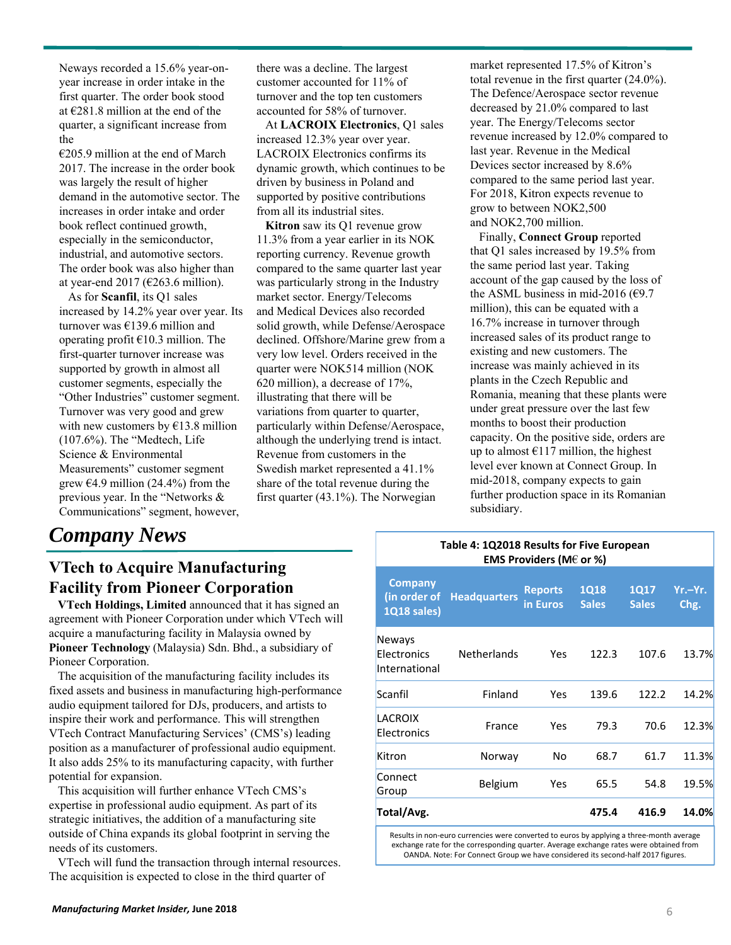Neways recorded a 15.6% year-onyear increase in order intake in the first quarter. The order book stood at €281.8 million at the end of the quarter, a significant increase from the

 $€205.9$  million at the end of March 2017. The increase in the order book was largely the result of higher demand in the automotive sector. The increases in order intake and order book reflect continued growth, especially in the semiconductor, industrial, and automotive sectors. The order book was also higher than at year-end 2017 ( $\epsilon$ 263.6 million).

As for **Scanfil**, its Q1 sales increased by 14.2% year over year. Its turnover was €139.6 million and operating profit  $£10.3$  million. The first-quarter turnover increase was supported by growth in almost all customer segments, especially the "Other Industries" customer segment. Turnover was very good and grew with new customers by  $£13.8$  million (107.6%). The "Medtech, Life Science & Environmental Measurements" customer segment grew  $\epsilon$ 4.9 million (24.4%) from the previous year. In the "Networks & Communications" segment, however,

# *Company News*

there was a decline. The largest customer accounted for 11% of turnover and the top ten customers accounted for 58% of turnover.

At **LACROIX Electronics**, Q1 sales increased 12.3% year over year. LACROIX Electronics confirms its dynamic growth, which continues to be driven by business in Poland and supported by positive contributions from all its industrial sites.

**Kitron** saw its Q1 revenue grow 11.3% from a year earlier in its NOK reporting currency. Revenue growth compared to the same quarter last year was particularly strong in the Industry market sector. Energy/Telecoms and Medical Devices also recorded solid growth, while Defense/Aerospace declined. Offshore/Marine grew from a very low level. Orders received in the quarter were NOK514 million (NOK 620 million), a decrease of 17%, illustrating that there will be variations from quarter to quarter, particularly within Defense/Aerospace, although the underlying trend is intact. Revenue from customers in the Swedish market represented a 41.1% share of the total revenue during the first quarter (43.1%). The Norwegian

market represented 17.5% of Kitron's total revenue in the first quarter (24.0%). The Defence/Aerospace sector revenue decreased by 21.0% compared to last year. The Energy/Telecoms sector revenue increased by 12.0% compared to last year. Revenue in the Medical Devices sector increased by 8.6% compared to the same period last year. For 2018, Kitron expects revenue to grow to between NOK2,500 and NOK2,700 million.

Finally, **Connect Group** reported that Q1 sales increased by 19.5% from the same period last year. Taking account of the gap caused by the loss of the ASML business in mid-2016 ( $€9.7$ million), this can be equated with a 16.7% increase in turnover through increased sales of its product range to existing and new customers. The increase was mainly achieved in its plants in the Czech Republic and Romania, meaning that these plants were under great pressure over the last few months to boost their production capacity. On the positive side, orders are up to almost  $E117$  million, the highest level ever known at Connect Group. In mid-2018, company expects to gain further production space in its Romanian subsidiary.

## **Table 4: 1Q2018 Results for Five European EMS Providers (M**€ **or %)**

| <b>Company</b><br>(in order of<br>1Q18 sales) | <b>Headquarters</b> | <b>Reports</b><br>in Euros | <b>1Q18</b><br><b>Sales</b> | <b>1Q17</b><br><b>Sales</b> | Yr.-Yr.<br>Chg. |
|-----------------------------------------------|---------------------|----------------------------|-----------------------------|-----------------------------|-----------------|
| Neways<br>Electronics<br>International        | <b>Netherlands</b>  | Yes                        | 122.3                       | 107.6                       | 13.7%           |
| Scanfil                                       | Finland             | Yes                        | 139.6                       | 122.2                       | 14.2%           |
| LACROIX<br>Electronics                        | France              | Yes                        | 79.3                        | 70.6                        | 12.3%           |
| Kitron                                        | Norway              | No                         | 68.7                        | 61.7                        | 11.3%           |
| Connect<br>Group                              | Belgium             | Yes                        | 65.5                        | 54.8                        | 19.5%           |
| Total/Avg.                                    |                     |                            | 475.4                       | 416.9                       | 14.0%           |
|                                               |                     |                            |                             |                             |                 |

Results in non‐euro currencies were converted to euros by applying a three‐month average exchange rate for the corresponding quarter. Average exchange rates were obtained from OANDA. Note: For Connect Group we have considered its second‐half 2017 figures.

# **Facility from Pioneer Corporation VTech Holdings, Limited** announced that it has signed an

**VTech to Acquire Manufacturing**

agreement with Pioneer Corporation under which VTech will acquire a manufacturing facility in Malaysia owned by **Pioneer Technology** (Malaysia) Sdn. Bhd., a subsidiary of Pioneer Corporation.

The acquisition of the manufacturing facility includes its fixed assets and business in manufacturing high-performance audio equipment tailored for DJs, producers, and artists to inspire their work and performance. This will strengthen VTech Contract Manufacturing Services' (CMS's) leading position as a manufacturer of professional audio equipment. It also adds 25% to its manufacturing capacity, with further potential for expansion.

This acquisition will further enhance VTech CMS's expertise in professional audio equipment. As part of its strategic initiatives, the addition of a manufacturing site outside of China expands its global footprint in serving the needs of its customers.

VTech will fund the transaction through internal resources. The acquisition is expected to close in the third quarter of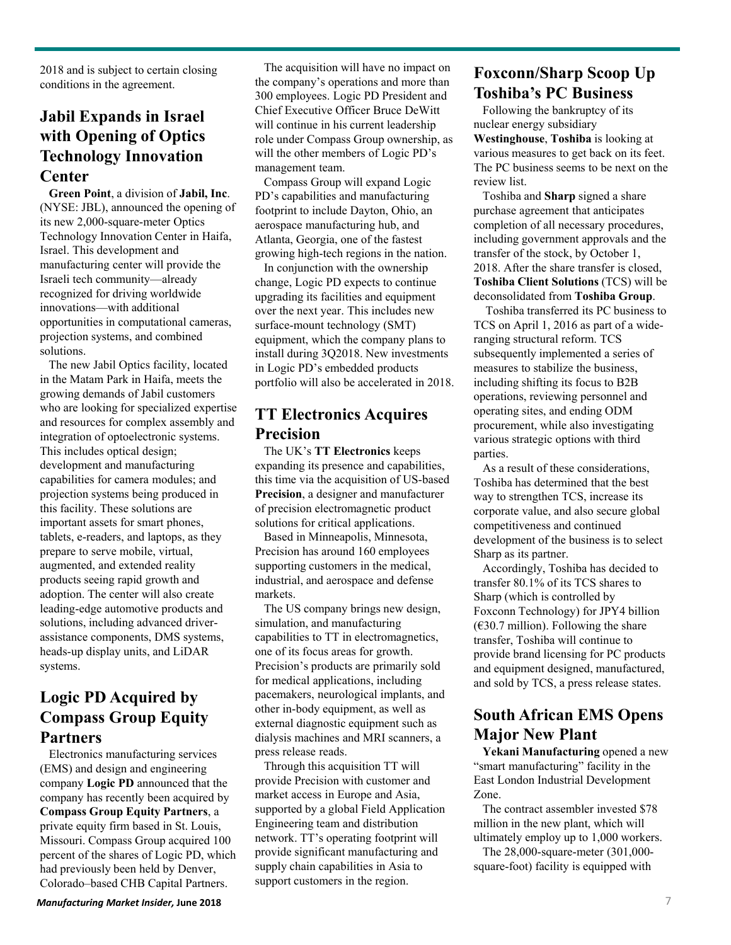2018 and is subject to certain closing conditions in the agreement.

# **Jabil Expands in Israel with Opening of Optics Technology Innovation Center**

**Green Point**, a division of **Jabil, Inc**. (NYSE: JBL), announced the opening of its new 2,000-square-meter Optics Technology Innovation Center in Haifa, Israel. This development and manufacturing center will provide the Israeli tech community—already recognized for driving worldwide innovations—with additional opportunities in computational cameras, projection systems, and combined solutions.

The new Jabil Optics facility, located in the Matam Park in Haifa, meets the growing demands of Jabil customers who are looking for specialized expertise and resources for complex assembly and integration of optoelectronic systems. This includes optical design; development and manufacturing capabilities for camera modules; and projection systems being produced in this facility. These solutions are important assets for smart phones, tablets, e-readers, and laptops, as they prepare to serve mobile, virtual, augmented, and extended reality products seeing rapid growth and adoption. The center will also create leading-edge automotive products and solutions, including advanced driverassistance components, DMS systems, heads-up display units, and LiDAR systems.

## **Logic PD Acquired by Compass Group Equity Partners**

Electronics manufacturing services (EMS) and design and engineering company **Logic PD** announced that the company has recently been acquired by **Compass Group Equity Partners**, a private equity firm based in St. Louis, Missouri. Compass Group acquired 100 percent of the shares of Logic PD, which had previously been held by Denver, Colorado–based CHB Capital Partners.

The acquisition will have no impact on the company's operations and more than 300 employees. Logic PD President and Chief Executive Officer Bruce DeWitt will continue in his current leadership role under Compass Group ownership, as will the other members of Logic PD's management team.

Compass Group will expand Logic PD's capabilities and manufacturing footprint to include Dayton, Ohio, an aerospace manufacturing hub, and Atlanta, Georgia, one of the fastest growing high-tech regions in the nation.

In conjunction with the ownership change, Logic PD expects to continue upgrading its facilities and equipment over the next year. This includes new surface-mount technology (SMT) equipment, which the company plans to install during 3Q2018. New investments in Logic PD's embedded products portfolio will also be accelerated in 2018.

## **TT Electronics Acquires Precision**

The UK's **TT Electronics** keeps expanding its presence and capabilities, this time via the acquisition of US-based **Precision**, a designer and manufacturer of precision electromagnetic product solutions for critical applications.

Based in Minneapolis, Minnesota, Precision has around 160 employees supporting customers in the medical, industrial, and aerospace and defense markets.

The US company brings new design, simulation, and manufacturing capabilities to TT in electromagnetics, one of its focus areas for growth. Precision's products are primarily sold for medical applications, including pacemakers, neurological implants, and other in-body equipment, as well as external diagnostic equipment such as dialysis machines and MRI scanners, a press release reads.

Through this acquisition TT will provide Precision with customer and market access in Europe and Asia, supported by a global Field Application Engineering team and distribution network. TT's operating footprint will provide significant manufacturing and supply chain capabilities in Asia to support customers in the region.

# **Foxconn/Sharp Scoop Up Toshiba's PC Business**

Following the bankruptcy of its nuclear energy subsidiary

**Westinghouse**, **Toshiba** is looking at various measures to get back on its feet. The PC business seems to be next on the review list.

Toshiba and **Sharp** signed a share purchase agreement that anticipates completion of all necessary procedures, including government approvals and the transfer of the stock, by October 1, 2018. After the share transfer is closed, **Toshiba Client Solutions** (TCS) will be deconsolidated from **Toshiba Group**.

Toshiba transferred its PC business to TCS on April 1, 2016 as part of a wideranging structural reform. TCS subsequently implemented a series of measures to stabilize the business, including shifting its focus to B2B operations, reviewing personnel and operating sites, and ending ODM procurement, while also investigating various strategic options with third parties.

As a result of these considerations, Toshiba has determined that the best way to strengthen TCS, increase its corporate value, and also secure global competitiveness and continued development of the business is to select Sharp as its partner.

Accordingly, Toshiba has decided to transfer 80.1% of its TCS shares to Sharp (which is controlled by Foxconn Technology) for JPY4 billion  $(630.7 \text{ million})$ . Following the share transfer, Toshiba will continue to provide brand licensing for PC products and equipment designed, manufactured, and sold by TCS, a press release states.

# **South African EMS Opens Major New Plant**

**Yekani Manufacturing** opened a new "smart manufacturing" facility in the East London Industrial Development Zone.

The contract assembler invested \$78 million in the new plant, which will ultimately employ up to 1,000 workers.

The 28,000-square-meter (301,000 square-foot) facility is equipped with